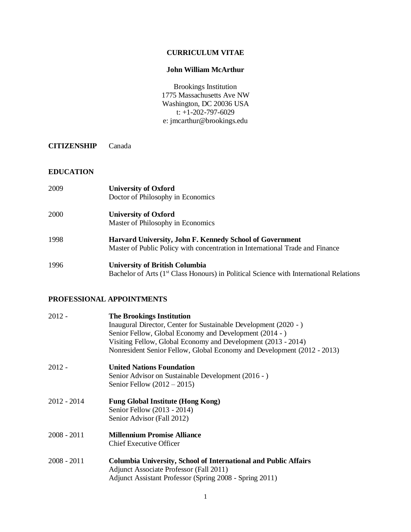### **CURRICULUM VITAE**

#### **John William McArthur**

Brookings Institution 1775 Massachusetts Ave NW Washington, DC 20036 USA t: +1-202-797-6029 e: jmcarthur@brookings.edu

**CITIZENSHIP** Canada

#### **EDUCATION**

| 2009 | <b>University of Oxford</b><br>Doctor of Philosophy in Economics                                                                          |
|------|-------------------------------------------------------------------------------------------------------------------------------------------|
| 2000 | <b>University of Oxford</b><br>Master of Philosophy in Economics                                                                          |
| 1998 | Harvard University, John F. Kennedy School of Government<br>Master of Public Policy with concentration in International Trade and Finance |
| 1996 | <b>University of British Columbia</b>                                                                                                     |

# Bachelor of Arts (1<sup>st</sup> Class Honours) in Political Science with International Relations

# **PROFESSIONAL APPOINTMENTS**

| 2012 -        | <b>The Brookings Institution</b><br>Inaugural Director, Center for Sustainable Development (2020 - )<br>Senior Fellow, Global Economy and Development (2014 - )<br>Visiting Fellow, Global Economy and Development (2013 - 2014)<br>Nonresident Senior Fellow, Global Economy and Development (2012 - 2013) |
|---------------|-------------------------------------------------------------------------------------------------------------------------------------------------------------------------------------------------------------------------------------------------------------------------------------------------------------|
| 2012 -        | <b>United Nations Foundation</b><br>Senior Advisor on Sustainable Development (2016 - )<br>Senior Fellow $(2012 – 2015)$                                                                                                                                                                                    |
| 2012 - 2014   | <b>Fung Global Institute (Hong Kong)</b><br>Senior Fellow (2013 - 2014)<br>Senior Advisor (Fall 2012)                                                                                                                                                                                                       |
| $2008 - 2011$ | <b>Millennium Promise Alliance</b><br><b>Chief Executive Officer</b>                                                                                                                                                                                                                                        |
| 2008 - 2011   | <b>Columbia University, School of International and Public Affairs</b><br>Adjunct Associate Professor (Fall 2011)<br>Adjunct Assistant Professor (Spring 2008 - Spring 2011)                                                                                                                                |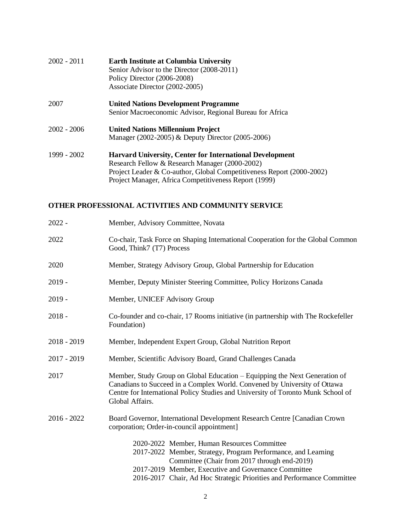| $2002 - 2011$ | <b>Earth Institute at Columbia University</b><br>Senior Advisor to the Director (2008-2011)<br>Policy Director (2006-2008)<br>Associate Director (2002-2005)                                                                                        |
|---------------|-----------------------------------------------------------------------------------------------------------------------------------------------------------------------------------------------------------------------------------------------------|
| 2007          | <b>United Nations Development Programme</b><br>Senior Macroeconomic Advisor, Regional Bureau for Africa                                                                                                                                             |
| $2002 - 2006$ | <b>United Nations Millennium Project</b><br>Manager (2002-2005) & Deputy Director (2005-2006)                                                                                                                                                       |
| 1999 - 2002   | <b>Harvard University, Center for International Development</b><br>Research Fellow & Research Manager (2000-2002)<br>Project Leader & Co-author, Global Competitiveness Report (2000-2002)<br>Project Manager, Africa Competitiveness Report (1999) |

# **OTHER PROFESSIONAL ACTIVITIES AND COMMUNITY SERVICE**

| $2022 -$      | Member, Advisory Committee, Novata                                                                                                                                                                                                                                                             |
|---------------|------------------------------------------------------------------------------------------------------------------------------------------------------------------------------------------------------------------------------------------------------------------------------------------------|
| 2022          | Co-chair, Task Force on Shaping International Cooperation for the Global Common<br>Good, Think7 (T7) Process                                                                                                                                                                                   |
| 2020          | Member, Strategy Advisory Group, Global Partnership for Education                                                                                                                                                                                                                              |
| $2019 -$      | Member, Deputy Minister Steering Committee, Policy Horizons Canada                                                                                                                                                                                                                             |
| $2019 -$      | Member, UNICEF Advisory Group                                                                                                                                                                                                                                                                  |
| $2018 -$      | Co-founder and co-chair, 17 Rooms initiative (in partnership with The Rockefeller<br>Foundation)                                                                                                                                                                                               |
| $2018 - 2019$ | Member, Independent Expert Group, Global Nutrition Report                                                                                                                                                                                                                                      |
| $2017 - 2019$ | Member, Scientific Advisory Board, Grand Challenges Canada                                                                                                                                                                                                                                     |
| 2017          | Member, Study Group on Global Education – Equipping the Next Generation of<br>Canadians to Succeed in a Complex World. Convened by University of Ottawa<br>Centre for International Policy Studies and University of Toronto Munk School of<br>Global Affairs.                                 |
| $2016 - 2022$ | Board Governor, International Development Research Centre [Canadian Crown]<br>corporation; Order-in-council appointment]                                                                                                                                                                       |
|               | 2020-2022 Member, Human Resources Committee<br>2017-2022 Member, Strategy, Program Performance, and Learning<br>Committee (Chair from 2017 through end-2019)<br>2017-2019 Member, Executive and Governance Committee<br>2016-2017 Chair, Ad Hoc Strategic Priorities and Performance Committee |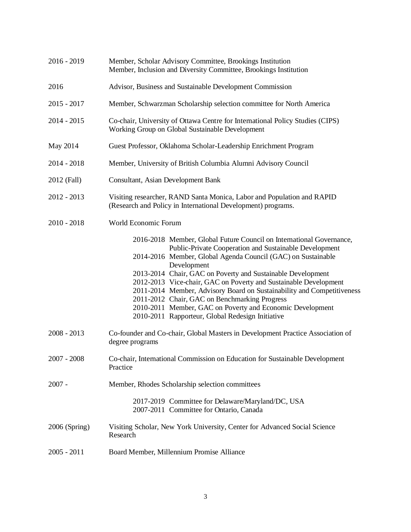| $2016 - 2019$ | Member, Scholar Advisory Committee, Brookings Institution<br>Member, Inclusion and Diversity Committee, Brookings Institution                                                                                                                                                                                                                                                                                                                                                                                                                                                                |
|---------------|----------------------------------------------------------------------------------------------------------------------------------------------------------------------------------------------------------------------------------------------------------------------------------------------------------------------------------------------------------------------------------------------------------------------------------------------------------------------------------------------------------------------------------------------------------------------------------------------|
| 2016          | Advisor, Business and Sustainable Development Commission                                                                                                                                                                                                                                                                                                                                                                                                                                                                                                                                     |
| $2015 - 2017$ | Member, Schwarzman Scholarship selection committee for North America                                                                                                                                                                                                                                                                                                                                                                                                                                                                                                                         |
| $2014 - 2015$ | Co-chair, University of Ottawa Centre for International Policy Studies (CIPS)<br>Working Group on Global Sustainable Development                                                                                                                                                                                                                                                                                                                                                                                                                                                             |
| May 2014      | Guest Professor, Oklahoma Scholar-Leadership Enrichment Program                                                                                                                                                                                                                                                                                                                                                                                                                                                                                                                              |
| $2014 - 2018$ | Member, University of British Columbia Alumni Advisory Council                                                                                                                                                                                                                                                                                                                                                                                                                                                                                                                               |
| 2012 (Fall)   | Consultant, Asian Development Bank                                                                                                                                                                                                                                                                                                                                                                                                                                                                                                                                                           |
| $2012 - 2013$ | Visiting researcher, RAND Santa Monica, Labor and Population and RAPID<br>(Research and Policy in International Development) programs.                                                                                                                                                                                                                                                                                                                                                                                                                                                       |
| $2010 - 2018$ | World Economic Forum                                                                                                                                                                                                                                                                                                                                                                                                                                                                                                                                                                         |
|               | 2016-2018 Member, Global Future Council on International Governance,<br>Public-Private Cooperation and Sustainable Development<br>2014-2016 Member, Global Agenda Council (GAC) on Sustainable<br>Development<br>2013-2014 Chair, GAC on Poverty and Sustainable Development<br>2012-2013 Vice-chair, GAC on Poverty and Sustainable Development<br>2011-2014 Member, Advisory Board on Sustainability and Competitiveness<br>2011-2012 Chair, GAC on Benchmarking Progress<br>2010-2011 Member, GAC on Poverty and Economic Development<br>2010-2011 Rapporteur, Global Redesign Initiative |
| $2008 - 2013$ | Co-founder and Co-chair, Global Masters in Development Practice Association of<br>degree programs                                                                                                                                                                                                                                                                                                                                                                                                                                                                                            |
| $2007 - 2008$ | Co-chair, International Commission on Education for Sustainable Development<br>Practice                                                                                                                                                                                                                                                                                                                                                                                                                                                                                                      |
| $2007 -$      | Member, Rhodes Scholarship selection committees                                                                                                                                                                                                                                                                                                                                                                                                                                                                                                                                              |
|               | 2017-2019 Committee for Delaware/Maryland/DC, USA<br>2007-2011 Committee for Ontario, Canada                                                                                                                                                                                                                                                                                                                                                                                                                                                                                                 |
| 2006 (Spring) | Visiting Scholar, New York University, Center for Advanced Social Science<br>Research                                                                                                                                                                                                                                                                                                                                                                                                                                                                                                        |
| $2005 - 2011$ | Board Member, Millennium Promise Alliance                                                                                                                                                                                                                                                                                                                                                                                                                                                                                                                                                    |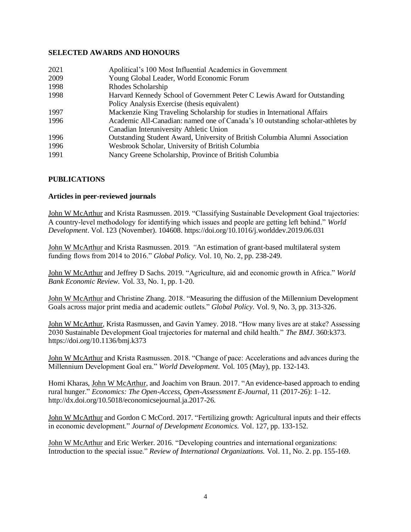### **SELECTED AWARDS AND HONOURS**

| 2021 | Apolitical's 100 Most Influential Academics in Government                       |
|------|---------------------------------------------------------------------------------|
| 2009 | Young Global Leader, World Economic Forum                                       |
| 1998 | Rhodes Scholarship                                                              |
| 1998 | Harvard Kennedy School of Government Peter C Lewis Award for Outstanding        |
|      | Policy Analysis Exercise (thesis equivalent)                                    |
| 1997 | Mackenzie King Traveling Scholarship for studies in International Affairs       |
| 1996 | Academic All-Canadian: named one of Canada's 10 outstanding scholar-athletes by |
|      | Canadian Interuniversity Athletic Union                                         |
| 1996 | Outstanding Student Award, University of British Columbia Alumni Association    |
| 1996 | Wesbrook Scholar, University of British Columbia                                |
| 1991 | Nancy Greene Scholarship, Province of British Columbia                          |

# **PUBLICATIONS**

#### **Articles in peer-reviewed journals**

John W McArthur and Krista Rasmussen. 2019. "Classifying Sustainable Development Goal trajectories: A country-level methodology for identifying which issues and people are getting left behind." *World Development*. Vol. 123 (November). 104608. https://doi.org/10.1016/j.worlddev.2019.06.031

John W McArthur and Krista Rasmussen. 2019*. "*An estimation of grant-based multilateral system funding flows from 2014 to 2016." *Global Policy.* Vol. 10, No. 2, pp. 238-249.

John W McArthur and Jeffrey D Sachs. 2019*.* "Agriculture, aid and economic growth in Africa." *World Bank Economic Review.* Vol. 33, No. 1, pp. 1-20.

John W McArthur and Christine Zhang. 2018. "Measuring the diffusion of the Millennium Development Goals across major print media and academic outlets." *Global Policy.* Vol. 9, No. 3, pp. 313-326.

John W McArthur, Krista Rasmussen, and Gavin Yamey. 2018. "How many lives are at stake? Assessing 2030 Sustainable Development Goal trajectories for maternal and child health." *The BMJ.* 360:k373. https://doi.org/10.1136/bmj.k373

John W McArthur and Krista Rasmussen. 2018. "Change of pace: Accelerations and advances during the Millennium Development Goal era." *World Development.* Vol. 105 (May), pp. 132-143.

Homi Kharas, John W McArthur, and Joachim von Braun. 2017. ["An evidence-based approach to ending](http://Economics:%20The%20Open-Access,%20Open-%20Assessment%20E-Journal,%2011%20(2017-26):%201–12%20.%20http:/dx.doi.org/10.5018/economicsejournal.%20ja.2017-26)  [rural hunger.](http://Economics:%20The%20Open-Access,%20Open-%20Assessment%20E-Journal,%2011%20(2017-26):%201–12%20.%20http:/dx.doi.org/10.5018/economicsejournal.%20ja.2017-26)" *Economics: The Open-Access, Open-Assessment E-Journal*, 11 (2017-26): 1–12. http://dx.doi.org/10.5018/economicsejournal.ja.2017-26.

John W McArthur and Gordon C McCord. 2017. "Fertilizing growth: Agricultural inputs and their effects in economic development." *Journal of Development Economics.* Vol. 127, pp. 133-152.

John W McArthur and Eric Werker. 2016. "Developing countries and international organizations: Introduction to the special issue." *Review of International Organizations.* Vol. 11, No. 2. pp. 155-169.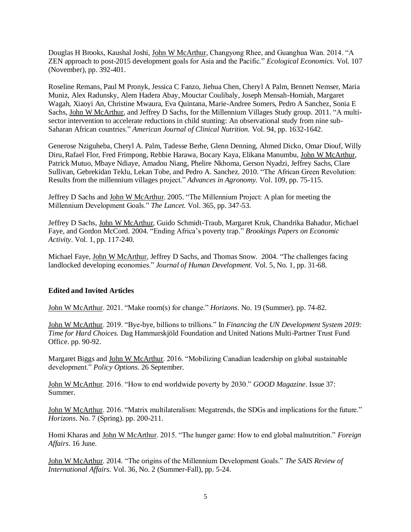Douglas H Brooks, Kaushal Joshi, John W McArthur, Changyong Rhee, and Guanghua Wan. 2014. "A ZEN approach to post-2015 development goals for Asia and the Pacific." *Ecological Economics.* Vol. 107 (November), pp. 392-401.

Roseline Remans, Paul M Pronyk, Jessica C Fanzo, Jiehua Chen, Cheryl A Palm, Bennett Nemser, Maria Muniz, Alex Radunsky, Alem Hadera Abay, Mouctar Coulibaly, Joseph Mensah-Homiah, Margaret Wagah, Xiaoyi An, Christine Mwaura, Eva Quintana, Marie-Andree Somers, Pedro A Sanchez, Sonia E Sachs, John W McArthur, and Jeffrey D Sachs, for the Millennium Villages Study group. 2011. "A multisector intervention to accelerate reductions in child stunting: An observational study from nine sub-Saharan African countries." *American Journal of Clinical Nutrition.* Vol. 94, pp. 1632-1642.

Generose Nziguheba, Cheryl A. Palm, Tadesse Berhe, Glenn Denning, Ahmed Dicko, Omar Diouf, Willy Diru, Rafael Flor, Fred Frimpong, Rebbie Harawa, Bocary Kaya, Elikana Manumbu, John W McArthur, Patrick Mutuo, Mbaye Ndiaye, Amadou Niang, Phelire Nkhoma, Gerson Nyadzi, Jeffrey Sachs, Clare Sullivan, Gebrekidan Teklu, Lekan Tobe, and Pedro A. Sanchez. 2010. "The African Green Revolution: Results from the millennium villages project." *Advances in Agronomy.* Vol. 109, pp. 75-115.

Jeffrey D Sachs and John W McArthur. 2005. "The Millennium Project: A plan for meeting the Millennium Development Goals." *The Lancet.* Vol. 365, pp. 347-53.

Jeffrey D Sachs, John W McArthur, Guido Schmidt-Traub, Margaret Kruk, Chandrika Bahadur, Michael Faye, and Gordon McCord. 2004. "Ending Africa's poverty trap." *Brookings Papers on Economic Activity*. Vol. 1, pp. 117-240*.*

Michael Faye, John W McArthur, Jeffrey D Sachs, and Thomas Snow. 2004. "The challenges facing landlocked developing economies." *Journal of Human Development.* Vol. 5, No. 1, pp. 31-68.

#### **Edited and Invited Articles**

John W McArthur. 2021. "Make room(s) for change." *Horizons*. No. 19 (Summer). pp. 74-82.

John W McArthur. 2019. "Bye-bye, billions to trillions." In *Financing the UN Development System 2019: Time for Hard Choices.* Dag Hammarskjöld Foundation and United Nations Multi-Partner Trust Fund Office. pp. 90-92.

Margaret Biggs and John W McArthur. 2016. "Mobilizing Canadian leadership on global sustainable development." *Policy Options.* 26 September.

John W McArthur. 2016. "How to end worldwide poverty by 2030." *GOOD Magazine*. Issue 37: Summer.

John W McArthur. 2016. "Matrix multilateralism: Megatrends, the SDGs and implications for the future." *Horizons*. No. 7 (Spring). pp. 200-211.

Homi Kharas and John W McArthur. 2015. "The hunger game: How to end global malnutrition." *Foreign Affairs*. 16 June.

John W McArthur. 2014*.* "The origins of the Millennium Development Goals." *The SAIS Review of International Affairs.* Vol. 36, No. 2 (Summer-Fall), pp. 5-24.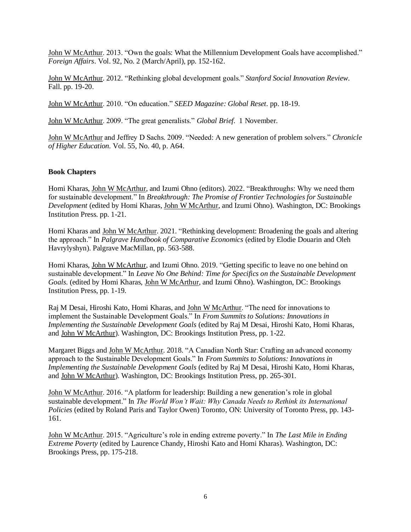John W McArthur. 2013. "Own the goals: What the Millennium Development Goals have accomplished." *Foreign Affairs*. Vol. 92, No. 2 (March/April), pp. 152-162.

John W McArthur. 2012. "Rethinking global development goals." *Stanford Social Innovation Review.*  Fall. pp. 19-20.

John W McArthur. 2010. "On education." *SEED Magazine: Global Reset.* pp. 18-19*.*

John W McArthur. 2009. "The great generalists." *Global Brief.* 1 November.

John W McArthur and Jeffrey D Sachs. 2009. "Needed: A new generation of problem solvers." *Chronicle of Higher Education.* Vol. 55, No. 40, p. A64.

#### **Book Chapters**

Homi Kharas, John W McArthur, and Izumi Ohno (editors). 2022. "Breakthroughs: Why we need them for sustainable development." In *Breakthrough: The Promise of Frontier Technologies for Sustainable Development* (edited by Homi Kharas, John W McArthur, and Izumi Ohno)*.* Washington, DC: Brookings Institution Press. pp. 1-21.

Homi Kharas and John W McArthur. 2021. "Rethinking development: Broadening the goals and altering the approach." In *Palgrave Handbook of Comparative Economics* (edited by Elodie Douarin and Oleh Havrylyshyn). Palgrave MacMillan, pp. 563-588.

Homi Kharas, John W McArthur, and Izumi Ohno. 2019*.* "Getting specific to leave no one behind on sustainable development." In *Leave No One Behind: Time for Specifics on the Sustainable Development Goals.* (edited by Homi Kharas, John W McArthur, and Izumi Ohno). Washington, DC: Brookings Institution Press, pp. 1-19.

Raj M Desai, Hiroshi Kato, Homi Kharas, and John W McArthur. "The need for innovations to implement the Sustainable Development Goals." In *From Summits to Solutions: Innovations in Implementing the Sustainable Development Goals* (edited by Raj M Desai, Hiroshi Kato, Homi Kharas, and John W McArthur). Washington, DC: Brookings Institution Press, pp. 1-22.

Margaret Biggs and John W McArthur. 2018. "A Canadian North Star: Crafting an advanced economy approach to the Sustainable Development Goals." In *From Summits to Solutions: Innovations in Implementing the Sustainable Development Goals* (edited by Raj M Desai, Hiroshi Kato, Homi Kharas, and John W McArthur). Washington, DC: Brookings Institution Press, pp. 265-301.

John W McArthur. 2016. "A platform for leadership: Building a new generation's role in global sustainable development." In *The World Won't Wait: Why Canada Needs to Rethink its International Policies* (edited by Roland Paris and Taylor Owen) Toronto, ON: University of Toronto Press, pp. 143- 161.

John W McArthur. 2015. "Agriculture's role in ending extreme poverty." In *[The Last Mile in Ending](http://www.brookings.edu/research/books/2014/the-last-mile-in-ending-extreme-poverty)  [Extreme Poverty](http://www.brookings.edu/research/books/2014/the-last-mile-in-ending-extreme-poverty)* (edited by Laurence Chandy, Hiroshi Kato and Homi Kharas). Washington, DC: Brookings Press, pp. 175-218.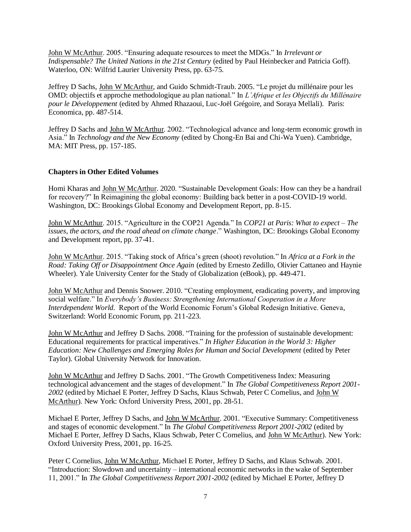John W McArthur. 2005. "Ensuring adequate resources to meet the MDGs." In *Irrelevant or Indispensable? The United Nations in the 21st Century* (edited by Paul Heinbecker and Patricia Goff). Waterloo, ON: Wilfrid Laurier University Press, pp. 63-75.

Jeffrey D Sachs, John W McArthur, and Guido Schmidt-Traub. 2005. "Le projet du millénaire pour les OMD: objectifs et approche methodologique au plan national." In *L'Afrique et les Objectifs du Millénaire pour le Développement* (edited by Ahmed Rhazaoui, Luc-Joël Grégoire, and Soraya Mellali). Paris: Economica, pp. 487-514.

Jeffrey D Sachs and John W McArthur. 2002. "Technological advance and long-term economic growth in Asia." In *Technology and the New Economy* (edited by Chong-En Bai and Chi-Wa Yuen). Cambridge, MA: MIT Press, pp. 157-185.

# **Chapters in Other Edited Volumes**

Homi Kharas and John W McArthur. 2020. "Sustainable Development Goals: How can they be a handrail for recovery?" In Reimagining the global economy: Building back better in a post-COVID-19 world. Washington, DC: Brookings Global Economy and Development Report, pp. 8-15.

John W McArthur. 2015. "Agriculture in the COP21 Agenda." In *COP21 at Paris: What to expect – The issues, the actors, and the road ahead on climate change*." Washington, DC: Brookings Global Economy and Development report, pp. 37-41.

John W McArthur. 2015. "Taking stock of Africa's green (shoot) revolution." In *Africa at a Fork in the Road: Taking Off or Disappointment Once Again* (edited by Ernesto Zedillo, Olivier Cattaneo and Haynie Wheeler). Yale University Center for the Study of Globalization (eBook), pp. 449-471.

John W McArthur and Dennis Snower. 2010. "Creating employment, eradicating poverty, and improving social welfare." In *Everybody's Business: Strengthening International Cooperation in a More Interdependent World.* Report of the World Economic Forum's Global Redesign Initiative. Geneva, Switzerland: World Economic Forum, pp. 211-223.

John W McArthur and Jeffrey D Sachs. 2008. "Training for the profession of sustainable development: Educational requirements for practical imperatives." *In Higher Education in the World 3: Higher Education: New Challenges and Emerging Roles for Human and Social Development* (edited by Peter Taylor)*.* Global University Network for Innovation.

John W McArthur and Jeffrey D Sachs. 2001. "The Growth Competitiveness Index: Measuring technological advancement and the stages of development." In *The Global Competitiveness Report 2001- 2002* (edited by Michael E Porter, Jeffrey D Sachs, Klaus Schwab, Peter C Cornelius, and John W McArthur). New York: Oxford University Press, 2001, pp. 28-51.

Michael E Porter, Jeffrey D Sachs, and John W McArthur. 2001. "Executive Summary: Competitiveness and stages of economic development." In *The Global Competitiveness Report 2001-2002* (edited by Michael E Porter, Jeffrey D Sachs, Klaus Schwab, Peter C Cornelius, and John W McArthur). New York: Oxford University Press, 2001, pp. 16-25.

Peter C Cornelius, John W McArthur, Michael E Porter, Jeffrey D Sachs, and Klaus Schwab. 2001. "Introduction: Slowdown and uncertainty – international economic networks in the wake of September 11, 2001." In *The Global Competitiveness Report 2001-2002* (edited by Michael E Porter, Jeffrey D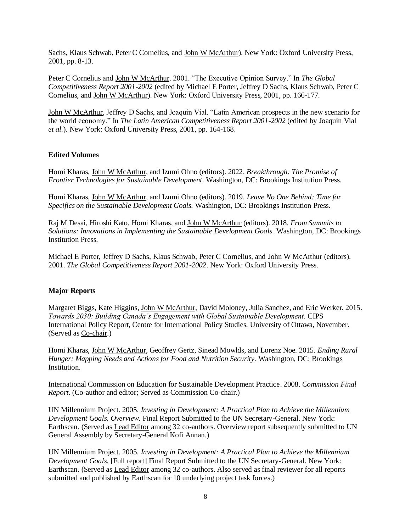Sachs, Klaus Schwab, Peter C Cornelius, and John W McArthur). New York: Oxford University Press, 2001, pp. 8-13.

Peter C Cornelius and John W McArthur. 2001. "The Executive Opinion Survey." In *The Global Competitiveness Report 2001-2002* (edited by Michael E Porter, Jeffrey D Sachs, Klaus Schwab, Peter C Cornelius, and John W McArthur). New York: Oxford University Press, 2001, pp. 166-177.

John W McArthur, Jeffrey D Sachs, and Joaquin Vial. "Latin American prospects in the new scenario for the world economy." In *The Latin American Competitiveness Report 2001-2002* (edited by Joaquin Vial *et al.*). New York: Oxford University Press, 2001, pp. 164-168.

#### **Edited Volumes**

Homi Kharas, John W McArthur, and Izumi Ohno (editors). 2022. *Breakthrough: The Promise of Frontier Technologies for Sustainable Development.* Washington, DC: Brookings Institution Press.

Homi Kharas, John W McArthur, and Izumi Ohno (editors). 2019. *Leave No One Behind: Time for Specifics on the Sustainable Development Goals.* Washington, DC: Brookings Institution Press.

Raj M Desai, Hiroshi Kato, Homi Kharas, and John W McArthur (editors). 2018*. From Summits to Solutions: Innovations in Implementing the Sustainable Development Goals.* Washington, DC: Brookings Institution Press.

Michael E Porter, Jeffrey D Sachs, Klaus Schwab, Peter C Cornelius, and John W McArthur (editors). 2001. *The Global Competitiveness Report 2001-2002*. New York: Oxford University Press.

#### **Major Reports**

Margaret Biggs, Kate Higgins, John W McArthur, David Moloney, Julia Sanchez, and Eric Werker. 2015. *Towards 2030: Building Canada's Engagement with Global Sustainable Development.* CIPS International Policy Report, Centre for International Policy Studies, University of Ottawa, November. (Served as Co-chair.)

Homi Kharas, John W McArthur, Geoffrey Gertz, Sinead Mowlds, and Lorenz Noe. 2015. *Ending Rural Hunger: Mapping Needs and Actions for Food and Nutrition Security.* Washington, DC: Brookings Institution.

International Commission on Education for Sustainable Development Practice. 2008. *Commission Final Report.* (Co-author and editor; Served as Commission Co-chair.)

UN Millennium Project. 2005. *Investing in Development: A Practical Plan to Achieve the Millennium Development Goals. Overview.* Final Report Submitted to the UN Secretary-General. New York: Earthscan. (Served as Lead Editor among 32 co-authors. Overview report subsequently submitted to UN General Assembly by Secretary-General Kofi Annan.)

UN Millennium Project. 2005. *Investing in Development: A Practical Plan to Achieve the Millennium Development Goals.* [Full report] Final Report Submitted to the UN Secretary-General. New York: Earthscan. (Served as Lead Editor among 32 co-authors. Also served as final reviewer for all reports submitted and published by Earthscan for 10 underlying project task forces.)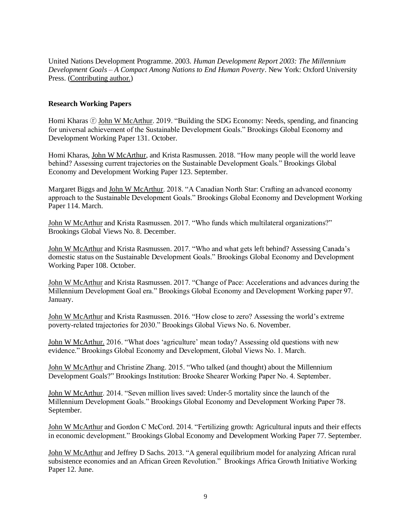United Nations Development Programme. 2003. *Human Development Report 2003: The Millennium Development Goals – A Compact Among Nations to End Human Poverty*. New York: Oxford University Press. (Contributing author.)

### **Research Working Papers**

Homi Kharas  $\overline{C}$  John W McArthur. 2019. "Building the SDG Economy: Needs, spending, and financing for universal achievement of the Sustainable Development Goals." Brookings Global Economy and Development Working Paper 131. October.

Homi Kharas, John W McArthur, and Krista Rasmussen. 2018. "How many people will the world leave behind? Assessing current trajectories on the Sustainable Development Goals." Brookings Global Economy and Development Working Paper 123. September.

Margaret Biggs and John W McArthur. 2018. "A Canadian North Star: Crafting an advanced economy approach to the Sustainable Development Goals." Brookings Global Economy and Development Working Paper 114. March.

John W McArthur and Krista Rasmussen. 2017. "Who funds which multilateral organizations?" Brookings Global Views No. 8. December.

John W McArthur and Krista Rasmussen. 2017. "Who and what gets left behind? Assessing Canada's domestic status on the Sustainable Development Goals." Brookings Global Economy and Development Working Paper 108. October.

John W McArthur and Krista Rasmussen. 2017. "Change of Pace: Accelerations and advances during the Millennium Development Goal era." Brookings Global Economy and Development Working paper 97. January.

John W McArthur and Krista Rasmussen. 2016. "How close to zero? Assessing the world's extreme poverty-related trajectories for 2030." Brookings Global Views No. 6. November.

John W McArthur. 2016. "What does 'agriculture' mean today? Assessing old questions with new evidence." Brookings Global Economy and Development, Global Views No. 1. March.

John W McArthur and Christine Zhang. 2015. "Who talked (and thought) about the Millennium Development Goals?" Brookings Institution: Brooke Shearer Working Paper No. 4. September.

John W McArthur. 2014. "Seven million lives saved: Under-5 mortality since the launch of the Millennium Development Goals." Brookings Global Economy and Development Working Paper 78. September.

John W McArthur and Gordon C McCord. 2014. "Fertilizing growth: Agricultural inputs and their effects in economic development." Brookings Global Economy and Development Working Paper 77. September.

John W McArthur and Jeffrey D Sachs. 2013. "A general equilibrium model for analyzing African rural subsistence economies and an African Green Revolution." Brookings Africa Growth Initiative Working Paper 12. June.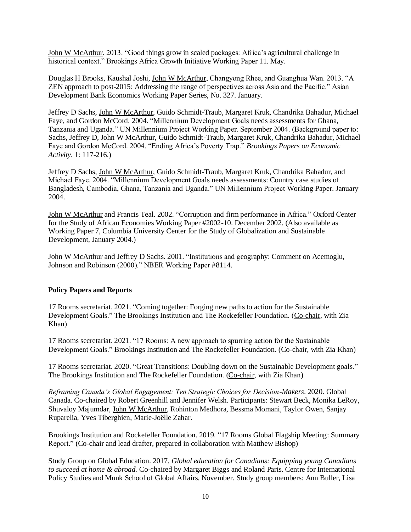John W McArthur. 2013. "Good things grow in scaled packages: Africa's agricultural challenge in historical context." Brookings Africa Growth Initiative Working Paper 11. May.

Douglas H Brooks, Kaushal Joshi, John W McArthur, Changyong Rhee, and Guanghua Wan. 2013. "A ZEN approach to post-2015: Addressing the range of perspectives across Asia and the Pacific." Asian Development Bank Economics Working Paper Series, No. 327. January.

Jeffrey D Sachs, John W McArthur, Guido Schmidt-Traub, Margaret Kruk, Chandrika Bahadur, Michael Faye, and Gordon McCord. 2004. "Millennium Development Goals needs assessments for Ghana, Tanzania and Uganda." UN Millennium Project Working Paper. September 2004. (Background paper to: Sachs, Jeffrey D, John W McArthur, Guido Schmidt-Traub, Margaret Kruk, Chandrika Bahadur, Michael Faye and Gordon McCord. 2004. "Ending Africa's Poverty Trap." *Brookings Papers on Economic Activity.* 1: 117-216.)

Jeffrey D Sachs, John W McArthur, Guido Schmidt-Traub, Margaret Kruk, Chandrika Bahadur, and Michael Faye. 2004. "Millennium Development Goals needs assessments: Country case studies of Bangladesh, Cambodia, Ghana, Tanzania and Uganda." UN Millennium Project Working Paper. January 2004.

John W McArthur and Francis Teal. 2002. "Corruption and firm performance in Africa." Oxford Center for the Study of African Economies Working Paper #2002-10. December 2002. (Also available as Working Paper 7, Columbia University Center for the Study of Globalization and Sustainable Development, January 2004.)

John W McArthur and Jeffrey D Sachs. 2001. "Institutions and geography: Comment on Acemoglu, Johnson and Robinson (2000)." NBER Working Paper #8114.

#### **Policy Papers and Reports**

17 Rooms secretariat. 2021. "Coming together: Forging new paths to action for the Sustainable Development Goals." The Brookings Institution and The Rockefeller Foundation. (Co-chair, with Zia Khan)

17 Rooms secretariat. 2021. "17 Rooms: A new approach to spurring action for the Sustainable Development Goals." Brookings Institution and The Rockefeller Foundation. (Co-chair, with Zia Khan)

17 Rooms secretariat. 2020. "Great Transitions: Doubling down on the Sustainable Development goals." The Brookings Institution and The Rockefeller Foundation. (Co-chair, with Zia Khan)

*Reframing Canada's Global Engagement: Ten Strategic Choices for Decision-Makers*. 2020. Global Canada. Co-chaired by Robert Greenhill and Jennifer Welsh. Participants: Stewart Beck, Monika LeRoy, Shuvaloy Majumdar, John W McArthur, Rohinton Medhora, Bessma Momani, Taylor Owen, Sanjay Ruparelia, Yves Tiberghien, Marie-Joëlle Zahar.

Brookings Institution and Rockefeller Foundation. 2019. "17 Rooms Global Flagship Meeting: Summary Report." (Co-chair and lead drafter, prepared in collaboration with Matthew Bishop)

Study Group on Global Education. 2017. *Global education for Canadians: Equipping young Canadians to succeed at home & abroad.* Co-chaired by Margaret Biggs and Roland Paris. Centre for International Policy Studies and Munk School of Global Affairs. November. Study group members: Ann Buller, Lisa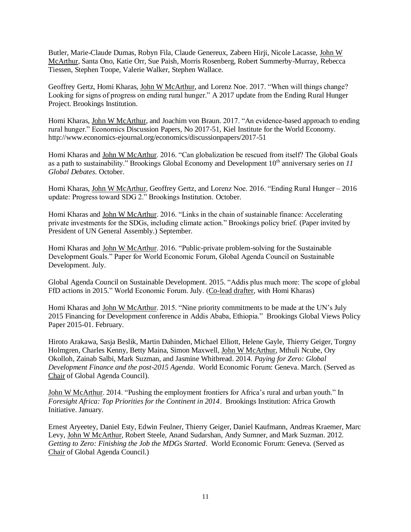Butler, Marie-Claude Dumas, Robyn Fila, Claude Genereux, Zabeen Hirji, Nicole Lacasse, John W McArthur, Santa Ono, Katie Orr, Sue Paish, Morris Rosenberg, Robert Summerby-Murray, Rebecca Tiessen, Stephen Toope, Valerie Walker, Stephen Wallace.

Geoffrey Gertz, Homi Kharas, John W McArthur, and Lorenz Noe. 2017. "When will things change? Looking for signs of progress on ending rural hunger." A 2017 update from the Ending Rural Hunger Project. Brookings Institution.

Homi Kharas, John W McArthur, and Joachim von Braun. 2017. "An evidence-based approach to ending rural hunger." Economics Discussion Papers, No 2017-51, Kiel Institute for the World Economy. http://www.economics-ejournal.org/economics/discussionpapers/2017-51

Homi Kharas and John W McArthur. 2016. "Can globalization be rescued from itself? The Global Goals as a path to sustainability." Brookings Global Economy and Development 10<sup>th</sup> anniversary series on *11 Global Debates*. October.

Homi Kharas, John W McArthur, Geoffrey Gertz, and Lorenz Noe. 2016. "Ending Rural Hunger – 2016 update: Progress toward SDG 2." Brookings Institution. October.

Homi Kharas and John W McArthur. 2016. "Links in the chain of sustainable finance: Accelerating private investments for the SDGs, including climate action." Brookings policy brief. (Paper invited by President of UN General Assembly.) September.

Homi Kharas and John W McArthur. 2016. "Public-private problem-solving for the Sustainable Development Goals." Paper for World Economic Forum, Global Agenda Council on Sustainable Development. July.

Global Agenda Council on Sustainable Development. 2015. "Addis plus much more: The scope of global FfD actions in 2015." World Economic Forum. July. (Co-lead drafter, with Homi Kharas)

Homi Kharas and John W McArthur. 2015. "Nine priority commitments to be made at the UN's July 2015 Financing for Development conference in Addis Ababa, Ethiopia." Brookings Global Views Policy Paper 2015-01. February.

Hiroto Arakawa, Sasja Beslik, Martin Dahinden, Michael Elliott, Helene Gayle, Thierry Geiger, Torgny Holmgren, Charles Kenny, Betty Maina, Simon Maxwell, John W McArthur, Mthuli Ncube, Ory Okolloh, Zainab Salbi, Mark Suzman, and Jasmine Whitbread. 2014. *Paying for Zero: Global Development Finance and the post-2015 Agenda*. World Economic Forum: Geneva. March. (Served as Chair of Global Agenda Council).

John W McArthur. 2014. ["Pushing the employment frontiers for Africa's rural and urban youth.](http://www.brookings.edu/~/media/Research/Files/Reports/2014/foresight%20africa%202014/01%20foresight%20employment%20rural%20urban%20youth%20mcarthur.pdf)" In *Foresight Africa: Top Priorities for the Continent in 2014*. Brookings Institution: Africa Growth Initiative. January.

Ernest Aryeetey, Daniel Esty, Edwin Feulner, Thierry Geiger, Daniel Kaufmann, Andreas Kraemer, Marc Levy, John W McArthur, Robert Steele, Anand Sudarshan, Andy Sumner, and Mark Suzman. 2012. *Getting to Zero: Finishing the Job the MDGs Started*. World Economic Forum: Geneva. (Served as Chair of Global Agenda Council.)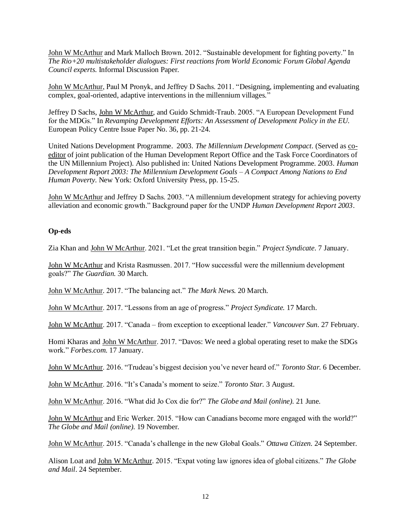John W McArthur and Mark Malloch Brown. 2012. "Sustainable development for fighting poverty." In *The Rio+20 multistakeholder dialogues: First reactions from World Economic Forum Global Agenda Council experts*. Informal Discussion Paper.

John W McArthur, Paul M Pronyk, and Jeffrey D Sachs. 2011. "Designing, implementing and evaluating complex, goal-oriented, adaptive interventions in the millennium villages."

Jeffrey D Sachs, John W McArthur, and Guido Schmidt-Traub. 2005. "A European Development Fund for the MDGs." In *Revamping Development Efforts: An Assessment of Development Policy in the EU.*  European Policy Centre Issue Paper No. 36, pp. 21-24.

United Nations Development Programme. 2003. *The Millennium Development Compact*. (Served as coeditor of joint publication of the Human Development Report Office and the Task Force Coordinators of the UN Millennium Project). Also published in: United Nations Development Programme. 2003. *Human Development Report 2003: The Millennium Development Goals – A Compact Among Nations to End Human Poverty*. New York: Oxford University Press, pp. 15-25.

John W McArthur and Jeffrey D Sachs. 2003. "A millennium development strategy for achieving poverty alleviation and economic growth." Background paper for the UNDP *Human Development Report 2003*.

#### **Op-eds**

Zia Khan and John W McArthur. 2021. "Let the great transition begin." *Project Syndicate.* 7 January.

John W McArthur and Krista Rasmussen. 2017. "How successful were the millennium development goals?" *The Guardian.* 30 March.

John W McArthur. 2017. "The balancing act." *The Mark News.* 20 March.

John W McArthur. 2017. "Lessons from an age of progress." *Project Syndicate.* 17 March.

John W McArthur. 2017. "Canada – from exception to exceptional leader." *Vancouver Sun.* 27 February.

Homi Kharas and John W McArthur. 2017. "Davos: We need a global operating reset to make the SDGs work." *Forbes.com*. 17 January.

John W McArthur. 2016. "Trudeau's biggest decision you've never heard of." *Toronto Star.* 6 December.

John W McArthur. 2016. "It's Canada's moment to seize." *Toronto Star.* 3 August.

John W McArthur. 2016. "What did Jo Cox die for?" *The Globe and Mail (online).* 21 June.

John W McArthur and Eric Werker. 2015. "How can Canadians become more engaged with the world?" *The Globe and Mail (online).* 19 November.

John W McArthur. 2015. "Canada's challenge in the new Global Goals." *Ottawa Citizen.* 24 September.

Alison Loat and John W McArthur. 2015. "Expat voting law ignores idea of global citizens." *The Globe and Mail*. 24 September.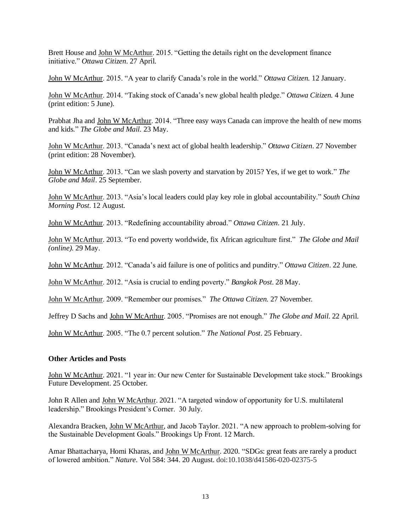Brett House and John W McArthur. 2015. "Getting the details right on the development finance initiative." *Ottawa Citizen*. 27 April.

John W McArthur. 2015. "A year to clarify Canada's role in the world." *Ottawa Citizen.* 12 January.

John W McArthur. 2014. "Taking stock of Canada's new global health pledge." *Ottawa Citizen.* 4 June (print edition: 5 June).

Prabhat Jha and John W McArthur. 2014. ["Three easy ways Canada can improve the health of](http://www.theglobeandmail.com/globe-debate/three-easy-ways-canada-can-improve-the-health-of-new-moms-and-kids/article18819937/) new moms [and kids.](http://www.theglobeandmail.com/globe-debate/three-easy-ways-canada-can-improve-the-health-of-new-moms-and-kids/article18819937/)" *The Globe and Mail.* 23 May.

John W McArthur. 2013. ["Canada's next act of global health leadership.](http://www.ottawacitizen.com/opinion/op-ed/Canada+next+global+health+leadership/9219714/story.html)" *Ottawa Citizen*. 27 November (print edition: 28 November).

John W McArthur. 2013. ["Can we slash poverty and starvation by 2015? Yes, if we get to work.](http://www.theglobeandmail.com/news/world/world-insider/if-the-un-wants-to-end-poverty-it-needs-to-act-now/article14513620/)" *The Globe and Mail*. 25 September.

John W McArthur. 2013. "Asia's local leaders could play key role in global accountability." *South China Morning Post.* 12 August.

John W McArthur. 2013. "Redefining accountability abroad." *Ottawa Citizen.* 21 July.

John W McArthur. 2013. "To end poverty worldwide, fix African agriculture first." *The Globe and Mail (online)*. 29 May.

John W McArthur. 2012. "Canada's aid failure is one of politics and punditry." *Ottawa Citizen*. 22 June.

John W McArthur. 2012. "Asia is crucial to ending poverty." *Bangkok Post*. 28 May.

John W McArthur. 2009. "Remember our promises." *The Ottawa Citizen.* 27 November.

Jeffrey D Sachs and John W McArthur. 2005. "Promises are not enough." *The Globe and Mail*. 22 April.

John W McArthur. 2005. "The 0.7 percent solution." *The National Post*. 25 February.

#### **Other Articles and Posts**

John W McArthur. 2021. "1 year in: Our new Center for Sustainable Development take stock." Brookings Future Development. 25 October.

John R Allen and John W McArthur. 2021. "A targeted window of opportunity for U.S. multilateral leadership." Brookings President's Corner. 30 July.

Alexandra Bracken, John W McArthur, and Jacob Taylor. 2021. "A new approach to problem-solving for the Sustainable Development Goals." Brookings Up Front. 12 March.

Amar Bhattacharya, Homi Kharas, and John W McArthur. 2020. "SDGs: great feats are rarely a product of lowered ambition." *Nature*. Vol 584: 344. 20 August. doi:10.1038/d41586-020-02375-5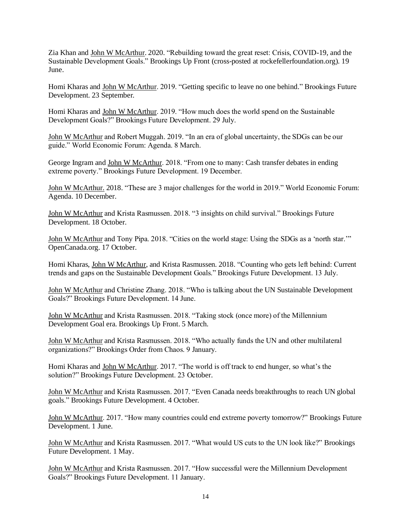Zia Khan and John W McArthur. 2020. "Rebuilding toward the great reset: Crisis, COVID-19, and the Sustainable Development Goals." Brookings Up Front (cross-posted at rockefellerfoundation.org). 19 June.

Homi Kharas and John W McArthur. 2019. "Getting specific to leave no one behind." Brookings Future Development. 23 September.

Homi Kharas and John W McArthur. 2019. "How much does the world spend on the Sustainable Development Goals?" Brookings Future Development. 29 July.

John W McArthur and Robert Muggah. 2019. "In an era of global uncertainty, the SDGs can be our guide." World Economic Forum: Agenda. 8 March.

George Ingram and John W McArthur. 2018. "From one to many: Cash transfer debates in ending extreme poverty." Brookings Future Development. 19 December.

John W McArthur. 2018. "These are 3 major challenges for the world in 2019." World Economic Forum: Agenda. 10 December.

John W McArthur and Krista Rasmussen. 2018. "3 insights on child survival." Brookings Future Development. 18 October.

John W McArthur and Tony Pipa. 2018. "Cities on the world stage: Using the SDGs as a 'north star.'" OpenCanada.org. 17 October.

Homi Kharas, John W McArthur, and Krista Rasmussen. 2018. "Counting who gets left behind: Current trends and gaps on the Sustainable Development Goals." Brookings Future Development. 13 July.

John W McArthur and Christine Zhang. 2018. "Who is talking about the UN Sustainable Development Goals?" Brookings Future Development. 14 June.

John W McArthur and Krista Rasmussen. 2018. "Taking stock (once more) of the Millennium Development Goal era. Brookings Up Front. 5 March.

John W McArthur and Krista Rasmussen. 2018. "Who actually funds the UN and other multilateral organizations?" Brookings Order from Chaos. 9 January.

Homi Kharas and John W McArthur. 2017. "The world is off track to end hunger, so what's the solution?" Brookings Future Development. 23 October.

John W McArthur and Krista Rasmussen. 2017. ["Even Canada needs breakthroughs to reach UN global](https://www.brookings.edu/blog/future-development/2017/10/04/even-canada-needs-breakthroughs-to-reach-un-global-goals/)  [goals.](https://www.brookings.edu/blog/future-development/2017/10/04/even-canada-needs-breakthroughs-to-reach-un-global-goals/)" Brookings Future Development. 4 October.

John W McArthur. 2017. "How many countries could end extreme poverty tomorrow?" Brookings Future Development. 1 June.

John W McArthur and Krista Rasmussen. 2017. "What would US cuts to the UN look like?" Brookings Future Development. 1 May.

John W McArthur and Krista Rasmussen. 2017. "How successful were the Millennium Development Goals?" Brookings Future Development. 11 January.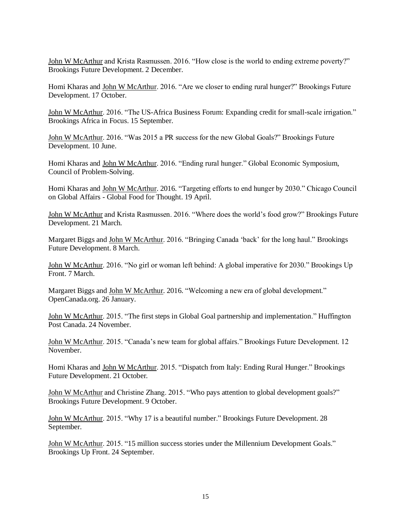John W McArthur and Krista Rasmussen. 2016. "How close is the world to ending extreme poverty?" Brookings Future Development. 2 December.

Homi Kharas and John W McArthur. 2016. "Are we closer to ending rural hunger?" Brookings Future Development. 17 October.

John W McArthur. 2016. "The US-Africa Business Forum: Expanding credit for small-scale irrigation." Brookings Africa in Focus. 15 September.

John W McArthur. 2016. "Was 2015 a PR success for the new Global Goals?" Brookings Future Development. 10 June.

Homi Kharas and John W McArthur. 2016. "Ending rural hunger." Global Economic Symposium, Council of Problem-Solving.

Homi Kharas and John W McArthur. 2016. "Targeting efforts to end hunger by 2030." Chicago Council on Global Affairs - Global Food for Thought. 19 April.

John W McArthur and Krista Rasmussen. 2016. "Where does the world's food grow?" Brookings Future Development. 21 March.

Margaret Biggs and John W McArthur. 2016. "Bringing Canada 'back' for the long haul." Brookings Future Development. 8 March.

John W McArthur. 2016. "No girl or woman left behind: A global imperative for 2030." Brookings Up Front. 7 March.

Margaret Biggs and John W McArthur. 2016. "Welcoming a new era of global development." OpenCanada.org. 26 January.

John W McArthur. 2015. "The first steps in Global Goal partnership and implementation." Huffington Post Canada. 24 November.

John W McArthur. 2015. "Canada's new team for global affairs." Brookings Future Development. 12 November.

Homi Kharas and John W McArthur. 2015. "Dispatch from Italy: Ending Rural Hunger." Brookings Future Development. 21 October.

John W McArthur and Christine Zhang. 2015. "Who pays attention to global development goals?" Brookings Future Development. 9 October.

John W McArthur. 2015. "Why 17 is a beautiful number." Brookings Future Development. 28 September.

John W McArthur. 2015. "15 million success stories under the Millennium Development Goals." Brookings Up Front. 24 September.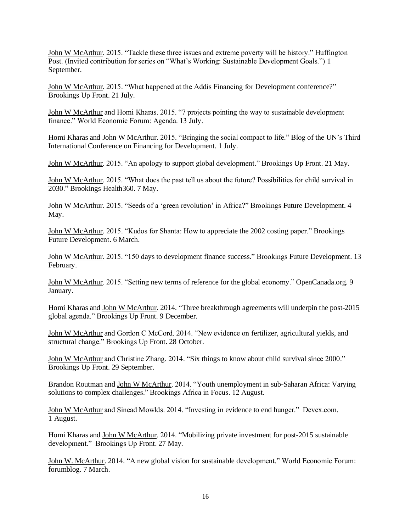John W McArthur. 2015. "Tackle these three issues and extreme poverty will be history." Huffington Post. (Invited contribution for series on "What's Working: Sustainable Development Goals.") 1 September.

John W McArthur. 2015. "What happened at the Addis Financing for Development conference?" Brookings Up Front. 21 July.

John W McArthur and Homi Kharas. 2015. "7 projects pointing the way to sustainable development finance." World Economic Forum: Agenda. 13 July.

Homi Kharas and John W McArthur. 2015. "Bringing the social compact to life." Blog of the UN's Third International Conference on Financing for Development. 1 July.

John W McArthur. 2015. "An apology to support global development." Brookings Up Front. 21 May.

John W McArthur. 2015. "What does the past tell us about the future? Possibilities for child survival in 2030." Brookings Health360. 7 May.

John W McArthur. 2015. "Seeds of a 'green revolution' in Africa?" Brookings Future Development. 4 May.

John W McArthur. 2015. "Kudos for Shanta: How to appreciate the 2002 costing paper." Brookings Future Development. 6 March.

John W McArthur. 2015. "150 days to development finance success." Brookings Future Development. 13 February.

John W McArthur. 2015. "Setting new terms of reference for the global economy." OpenCanada.org. 9 January.

Homi Kharas and John W McArthur. 2014. "Three breakthrough agreements will underpin the post-2015 global agenda." Brookings Up Front. 9 December.

John W McArthur and Gordon C McCord. 2014. "New evidence on fertilizer, agricultural yields, and structural change." Brookings Up Front. 28 October.

John W McArthur and Christine Zhang. 2014. "Six things to know about child survival since 2000." Brookings Up Front. 29 September.

Brandon Routman and John W McArthur. 2014. "Youth unemployment in sub-Saharan Africa: Varying solutions to complex challenges." Brookings Africa in Focus. 12 August.

John W McArthur and Sinead Mowlds. 2014. "Investing in evidence to end hunger." Devex.com. 1 August.

Homi Kharas and John W McArthur. 2014. "Mobilizing private investment for post-2015 sustainable development." Brookings Up Front. 27 May.

John W. McArthur. 2014. "A new global vision for sustainable development." World Economic Forum: forumblog. 7 March.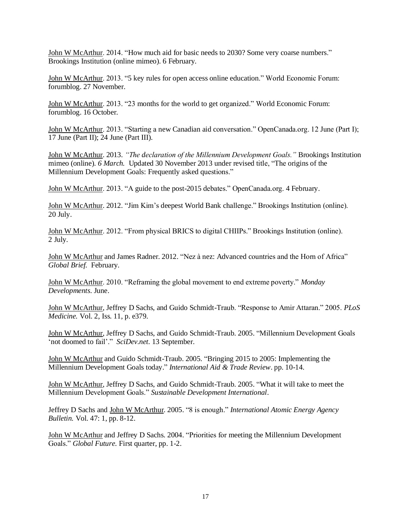John W McArthur. 2014. ["How much aid for basic needs to 2030? Some very coarse numbers.](http://www.brookings.edu/research/opinions/2014/02/05-basic-aid-needs-mcarthur)" Brookings Institution (online mimeo). 6 February.

John W McArthur. 2013. ["5 key rules for open access online education.](http://forumblog.org/2013/11/five-key-rules-for-open-access-online-education/)" World Economic Forum: forumblog. 27 November.

John W McArthur. 2013. "23 months for the world to get organized." World Economic Forum: forumblog. 16 October.

John W McArthur. 2013. "Starting a new Canadian aid conversation." OpenCanada.org. 12 June (Part I); 17 June (Part II); 24 June (Part III).

John W McArthur. 2013. *"The declaration of the Millennium Development Goals."* Brookings Institution mimeo (online)*. 6 March.* Updated 30 November 2013 under revised title, "The origins of the Millennium Development Goals: Frequently asked questions."

John W McArthur. 2013. "A guide to the post-2015 debates." OpenCanada.org. 4 February.

John W McArthur. 2012. "Jim Kim's deepest World Bank challenge." Brookings Institution (online). 20 July.

John W McArthur. 2012. "From physical BRICS to digital CHIIPs." Brookings Institution (online). 2 July.

John W McArthur and James Radner*.* 2012. "Nez à nez: Advanced countries and the Horn of Africa" *Global Brief.* February.

John W McArthur. 2010. "Reframing the global movement to end extreme poverty." *Monday Developments.* June.

John W McArthur, Jeffrey D Sachs, and Guido Schmidt-Traub. "Response to Amir Attaran." 2005. *PLoS Medicine.* Vol. 2, Iss. 11, p. e379.

John W McArthur, Jeffrey D Sachs, and Guido Schmidt-Traub. 2005. "Millennium Development Goals 'not doomed to fail'." *SciDev.net.* 13 September.

John W McArthur and Guido Schmidt-Traub. 2005. "Bringing 2015 to 2005: Implementing the Millennium Development Goals today." *International Aid & Trade Review*. pp. 10-14.

John W McArthur, Jeffrey D Sachs, and Guido Schmidt-Traub. 2005. "What it will take to meet the Millennium Development Goals." *Sustainable Development International*.

Jeffrey D Sachs and John W McArthur. 2005. "8 is enough." *International Atomic Energy Agency Bulletin.* Vol. 47: 1, pp. 8-12.

John W McArthur and Jeffrey D Sachs. 2004. "Priorities for meeting the Millennium Development Goals." *Global Future*. First quarter, pp. 1-2.